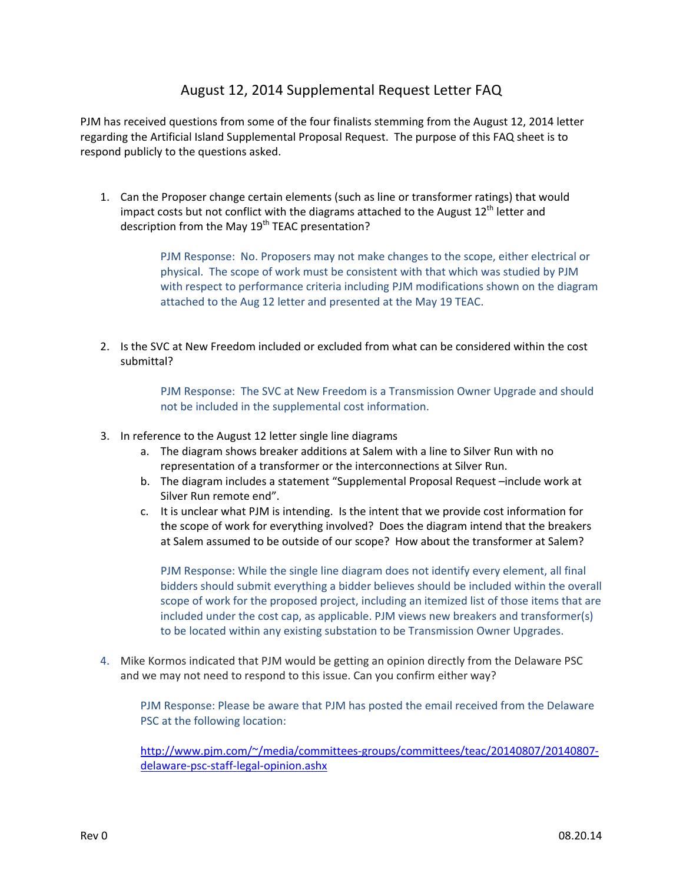## August 12, 2014 Supplemental Request Letter FAQ

PJM has received questions from some of the four finalists stemming from the August 12, 2014 letter regarding the Artificial Island Supplemental Proposal Request. The purpose of this FAQ sheet is to respond publicly to the questions asked.

1. Can the Proposer change certain elements (such as line or transformer ratings) that would impact costs but not conflict with the diagrams attached to the August  $12^{th}$  letter and description from the May  $19<sup>th</sup>$  TEAC presentation?

> PJM Response: No. Proposers may not make changes to the scope, either electrical or physical. The scope of work must be consistent with that which was studied by PJM with respect to performance criteria including PJM modifications shown on the diagram attached to the Aug 12 letter and presented at the May 19 TEAC.

2. Is the SVC at New Freedom included or excluded from what can be considered within the cost submittal?

> PJM Response: The SVC at New Freedom is a Transmission Owner Upgrade and should not be included in the supplemental cost information.

- 3. In reference to the August 12 letter single line diagrams
	- a. The diagram shows breaker additions at Salem with a line to Silver Run with no representation of a transformer or the interconnections at Silver Run.
	- b. The diagram includes a statement "Supplemental Proposal Request –include work at Silver Run remote end".
	- c. It is unclear what PJM is intending. Is the intent that we provide cost information for the scope of work for everything involved? Does the diagram intend that the breakers at Salem assumed to be outside of our scope? How about the transformer at Salem?

PJM Response: While the single line diagram does not identify every element, all final bidders should submit everything a bidder believes should be included within the overall scope of work for the proposed project, including an itemized list of those items that are included under the cost cap, as applicable. PJM views new breakers and transformer(s) to be located within any existing substation to be Transmission Owner Upgrades.

4. Mike Kormos indicated that PJM would be getting an opinion directly from the Delaware PSC and we may not need to respond to this issue. Can you confirm either way?

PJM Response: Please be aware that PJM has posted the email received from the Delaware PSC at the following location:

http://www.pjm.com/~/media/committees-groups/committees/teac/20140807/20140807delaware‐psc‐staff‐legal‐opinion.ashx